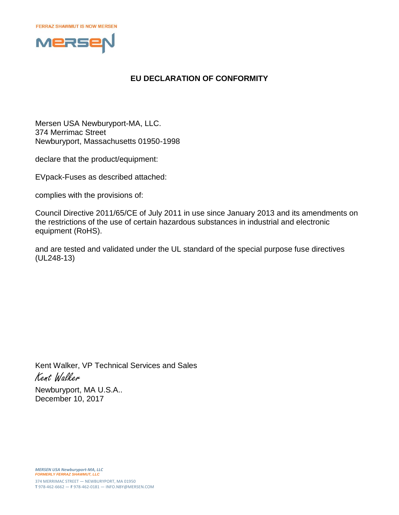

## **EU DECLARATION OF CONFORMITY**

Mersen USA Newburyport-MA, LLC. 374 Merrimac Street Newburyport, Massachusetts 01950-1998

declare that the product/equipment:

EVpack-Fuses as described attached:

complies with the provisions of:

Council Directive 2011/65/CE of July 2011 in use since January 2013 and its amendments on the restrictions of the use of certain hazardous substances in industrial and electronic equipment (RoHS).

and are tested and validated under the UL standard of the special purpose fuse directives (UL248-13)

Kent Walker, VP Technical Services and Sales Kent Walker Newburyport, MA U.S.A..

December 10, 2017